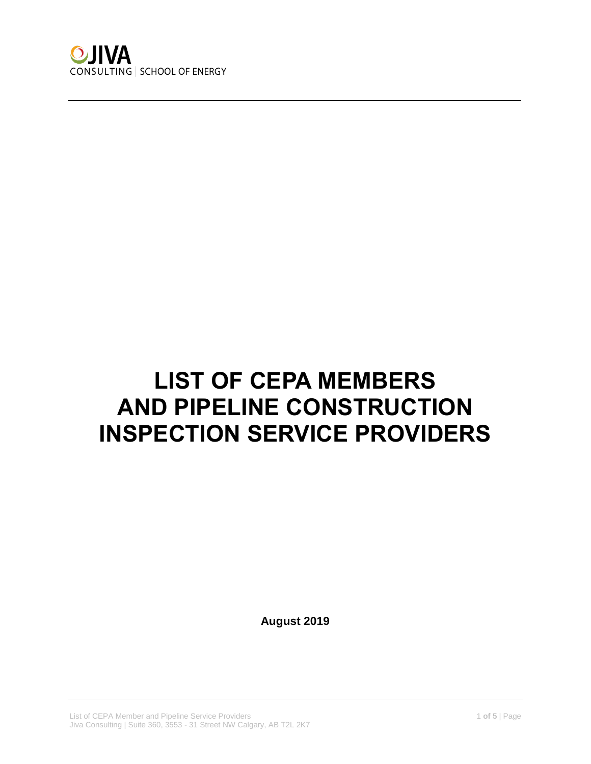

## **LIST OF CEPA MEMBERS AND PIPELINE CONSTRUCTION INSPECTION SERVICE PROVIDERS**

**August 2019**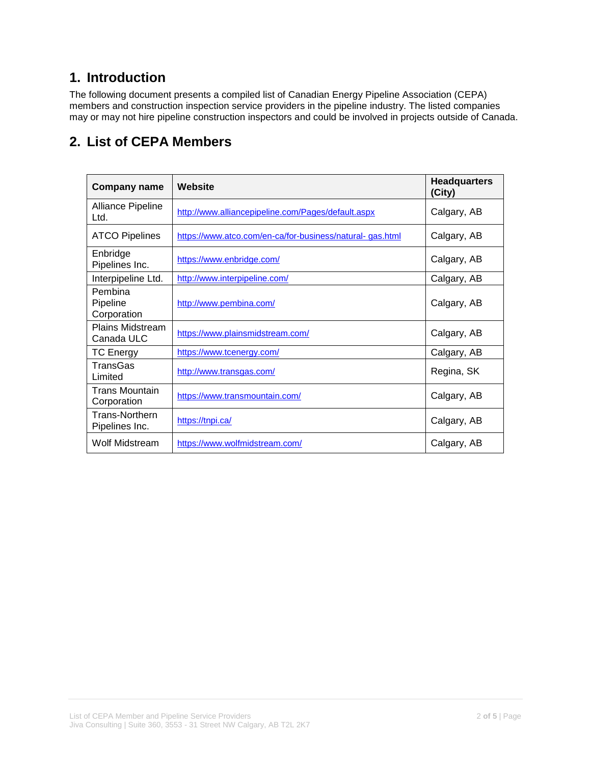## **1. Introduction**

The following document presents a compiled list of Canadian Energy Pipeline Association (CEPA) members and construction inspection service providers in the pipeline industry. The listed companies may or may not hire pipeline construction inspectors and could be involved in projects outside of Canada.

## **2. List of CEPA Members**

| <b>Company name</b>                   | Website                                                  | <b>Headquarters</b><br>(City) |
|---------------------------------------|----------------------------------------------------------|-------------------------------|
| Alliance Pipeline<br>Ltd.             | http://www.alliancepipeline.com/Pages/default.aspx       | Calgary, AB                   |
| <b>ATCO Pipelines</b>                 | https://www.atco.com/en-ca/for-business/natural-gas.html | Calgary, AB                   |
| Enbridge<br>Pipelines Inc.            | https://www.enbridge.com/                                | Calgary, AB                   |
| Interpipeline Ltd.                    | http://www.interpipeline.com/                            | Calgary, AB                   |
| Pembina<br>Pipeline<br>Corporation    | http://www.pembina.com/                                  | Calgary, AB                   |
| <b>Plains Midstream</b><br>Canada ULC | https://www.plainsmidstream.com/                         | Calgary, AB                   |
| <b>TC Energy</b>                      | https://www.tcenergy.com/                                | Calgary, AB                   |
| TransGas<br>Limited                   | http://www.transgas.com/                                 | Regina, SK                    |
| <b>Trans Mountain</b><br>Corporation  | https://www.transmountain.com/                           | Calgary, AB                   |
| Trans-Northern<br>Pipelines Inc.      | https://tnpi.ca/                                         | Calgary, AB                   |
| Wolf Midstream                        | https://www.wolfmidstream.com/                           | Calgary, AB                   |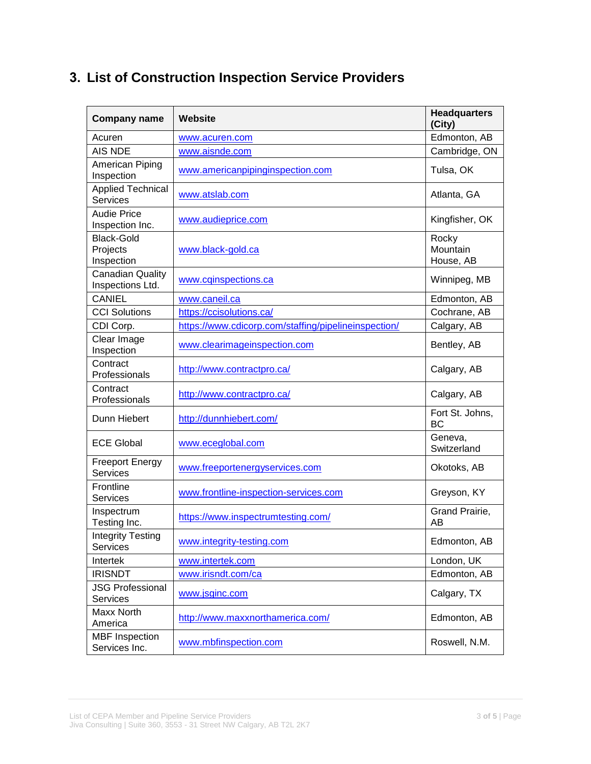| <b>Company name</b>                         | <b>Website</b>                                       | <b>Headquarters</b><br>(City)  |
|---------------------------------------------|------------------------------------------------------|--------------------------------|
| Acuren                                      | www.acuren.com                                       | Edmonton, AB                   |
| AIS NDE                                     | www.aisnde.com                                       | Cambridge, ON                  |
| American Piping<br>Inspection               | www.americanpipinginspection.com                     | Tulsa, OK                      |
| <b>Applied Technical</b><br><b>Services</b> | www.atslab.com                                       | Atlanta, GA                    |
| <b>Audie Price</b><br>Inspection Inc.       | www.audieprice.com                                   | Kingfisher, OK                 |
| <b>Black-Gold</b><br>Projects<br>Inspection | www.black-gold.ca                                    | Rocky<br>Mountain<br>House, AB |
| <b>Canadian Quality</b><br>Inspections Ltd. | www.cqinspections.ca                                 | Winnipeg, MB                   |
| <b>CANIEL</b>                               | www.caneil.ca                                        | Edmonton, AB                   |
| <b>CCI Solutions</b>                        | https://ccisolutions.ca/                             | Cochrane, AB                   |
| CDI Corp.                                   | https://www.cdicorp.com/staffing/pipelineinspection/ | Calgary, AB                    |
| Clear Image<br>Inspection                   | www.clearimageinspection.com                         | Bentley, AB                    |
| Contract<br>Professionals                   | http://www.contractpro.ca/                           | Calgary, AB                    |
| Contract<br>Professionals                   | http://www.contractpro.ca/                           | Calgary, AB                    |
| Dunn Hiebert                                | http://dunnhiebert.com/                              | Fort St. Johns,<br><b>BC</b>   |
| <b>ECE Global</b>                           | www.eceglobal.com                                    | Geneva,<br>Switzerland         |
| <b>Freeport Energy</b><br><b>Services</b>   | www.freeportenergyservices.com                       | Okotoks, AB                    |
| Frontline<br><b>Services</b>                | www.frontline-inspection-services.com                | Greyson, KY                    |
| Inspectrum<br>Testing Inc.                  | https://www.inspectrumtesting.com/                   | Grand Prairie,<br>AB           |
| <b>Integrity Testing</b><br><b>Services</b> | www.integrity-testing.com                            | Edmonton, AB                   |
| Intertek                                    | www.intertek.com                                     | London, UK                     |
| <b>IRISNDT</b>                              | www.irisndt.com/ca                                   | Edmonton, AB                   |
| <b>JSG Professional</b><br><b>Services</b>  | www.jsginc.com                                       | Calgary, TX                    |
| Maxx North<br>America                       | http://www.maxxnorthamerica.com/                     | Edmonton, AB                   |
| <b>MBF</b> Inspection<br>Services Inc.      | www.mbfinspection.com                                | Roswell, N.M.                  |

## **3. List of Construction Inspection Service Providers**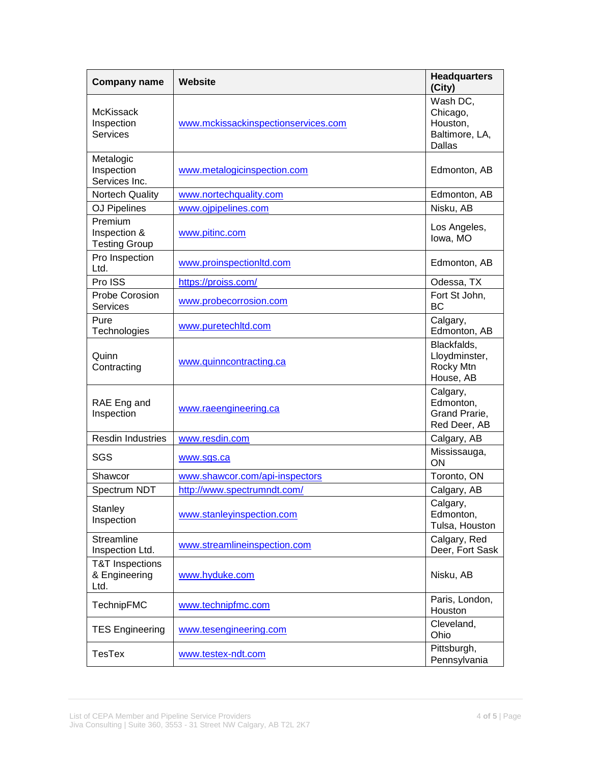| <b>Company name</b>                                 | Website                             | <b>Headquarters</b><br>(City)                                       |
|-----------------------------------------------------|-------------------------------------|---------------------------------------------------------------------|
| <b>McKissack</b><br>Inspection<br><b>Services</b>   | www.mckissackinspectionservices.com | Wash DC,<br>Chicago,<br>Houston,<br>Baltimore, LA,<br><b>Dallas</b> |
| Metalogic<br>Inspection<br>Services Inc.            | www.metalogicinspection.com         | Edmonton, AB                                                        |
| <b>Nortech Quality</b>                              | www.nortechquality.com              | Edmonton, AB                                                        |
| <b>OJ Pipelines</b>                                 | www.ojpipelines.com                 | Nisku, AB                                                           |
| Premium<br>Inspection &<br><b>Testing Group</b>     | www.pitinc.com                      | Los Angeles,<br>lowa, MO                                            |
| Pro Inspection<br>Ltd.                              | www.proinspectionltd.com            | Edmonton, AB                                                        |
| Pro ISS                                             | https://proiss.com/                 | Odessa, TX                                                          |
| <b>Probe Corosion</b><br><b>Services</b>            | www.probecorrosion.com              | Fort St John,<br>BC                                                 |
| Pure<br>Technologies                                | www.puretechltd.com                 | Calgary,<br>Edmonton, AB                                            |
| Quinn<br>Contracting                                | www.quinncontracting.ca             | Blackfalds,<br>Lloydminster,<br>Rocky Mtn<br>House, AB              |
| RAE Eng and<br>Inspection                           | www.raeengineering.ca               | Calgary,<br>Edmonton,<br>Grand Prarie,<br>Red Deer, AB              |
| <b>Resdin Industries</b>                            | www.resdin.com                      | Calgary, AB                                                         |
| SGS                                                 | www.sgs.ca                          | Mississauga,<br>ON                                                  |
| Shawcor                                             | www.shawcor.com/api-inspectors      | Toronto, ON                                                         |
| Spectrum NDT                                        | http://www.spectrumndt.com/         | Calgary, AB                                                         |
| Stanley<br>Inspection                               | www.stanleyinspection.com           | Calgary,<br>Edmonton,<br>Tulsa, Houston                             |
| Streamline<br>Inspection Ltd.                       | www.streamlineinspection.com        | Calgary, Red<br>Deer, Fort Sask                                     |
| <b>T&amp;T</b> Inspections<br>& Engineering<br>Ltd. | www.hyduke.com                      | Nisku, AB                                                           |
| <b>TechnipFMC</b>                                   | www.technipfmc.com                  | Paris, London,<br>Houston                                           |
| <b>TES Engineering</b>                              | www.tesengineering.com              | Cleveland,<br>Ohio                                                  |
| <b>TesTex</b>                                       | www.testex-ndt.com                  | Pittsburgh,<br>Pennsylvania                                         |